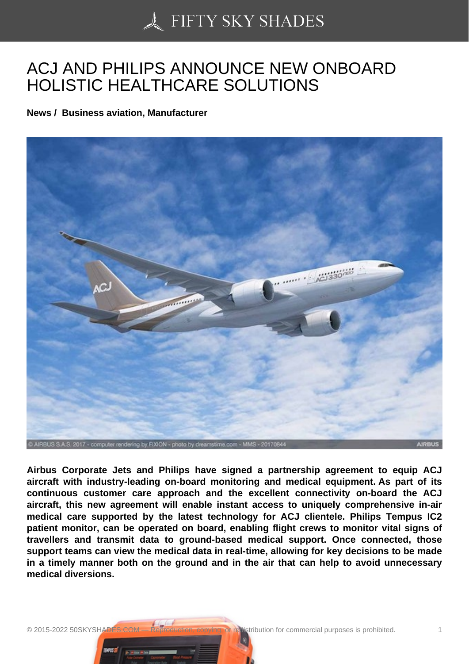## [ACJ AND PHILIPS AN](https://50skyshades.com)NOUNCE NEW ONBOARD HOLISTIC HEALTHCARE SOLUTIONS

News / Business aviation, Manufacturer

Airbus Corporate Jets and Philips have signed a partnership agreement to equip ACJ aircraft with industry-leading on-board monitoring and medical equipment. As part of its continuous customer care approach and the excellent connectivity on-board the ACJ aircraft, this new agreement will enable instant access to uniquely comprehensive in-air medical care supported by the latest technology for ACJ clientele. Philips Tempus IC2 patient monitor, can be operated on board, enabling flight crews to monitor vital signs of travellers and transmit data to ground-based medical support. Once connected, those support teams can view the medical data in real-time, allowing for key decisions to be made in a timely manner both on the ground and in the air that can help to avoid unnecessary medical diversions.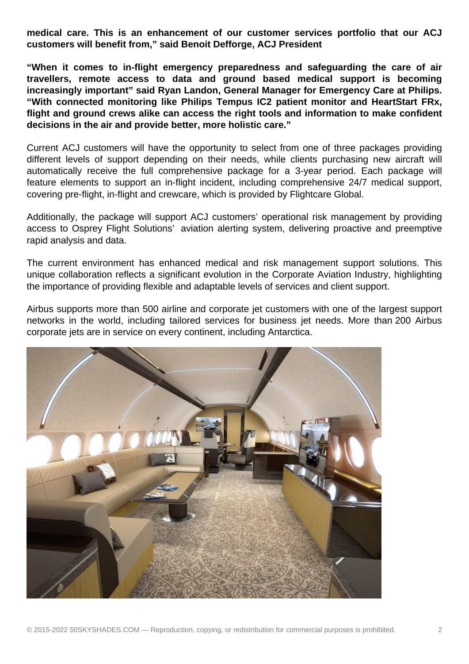**medical care. This is an enhancement of our customer services portfolio that our ACJ customers will benefit from," said Benoit Defforge, ACJ President**

**"When it comes to in-flight emergency preparedness and safeguarding the care of air travellers, remote access to data and ground based medical support is becoming increasingly important" said Ryan Landon, General Manager for Emergency Care at Philips. "With connected monitoring like Philips Tempus IC2 patient monitor and HeartStart FRx, flight and ground crews alike can access the right tools and information to make confident decisions in the air and provide better, more holistic care."**

Current ACJ customers will have the opportunity to select from one of three packages providing different levels of support depending on their needs, while clients purchasing new aircraft will automatically receive the full comprehensive package for a 3-year period. Each package will feature elements to support an in-flight incident, including comprehensive 24/7 medical support, covering pre-flight, in-flight and crewcare, which is provided by Flightcare Global.

Additionally, the package will support ACJ customers' operational risk management by providing access to Osprey Flight Solutions' aviation alerting system, delivering proactive and preemptive rapid analysis and data.

The current environment has enhanced medical and risk management support solutions. This unique collaboration reflects a significant evolution in the Corporate Aviation Industry, highlighting the importance of providing flexible and adaptable levels of services and client support.

Airbus supports more than 500 airline and corporate jet customers with one of the largest support networks in the world, including tailored services for business jet needs. More than 200 Airbus corporate jets are in service on every continent, including Antarctica.